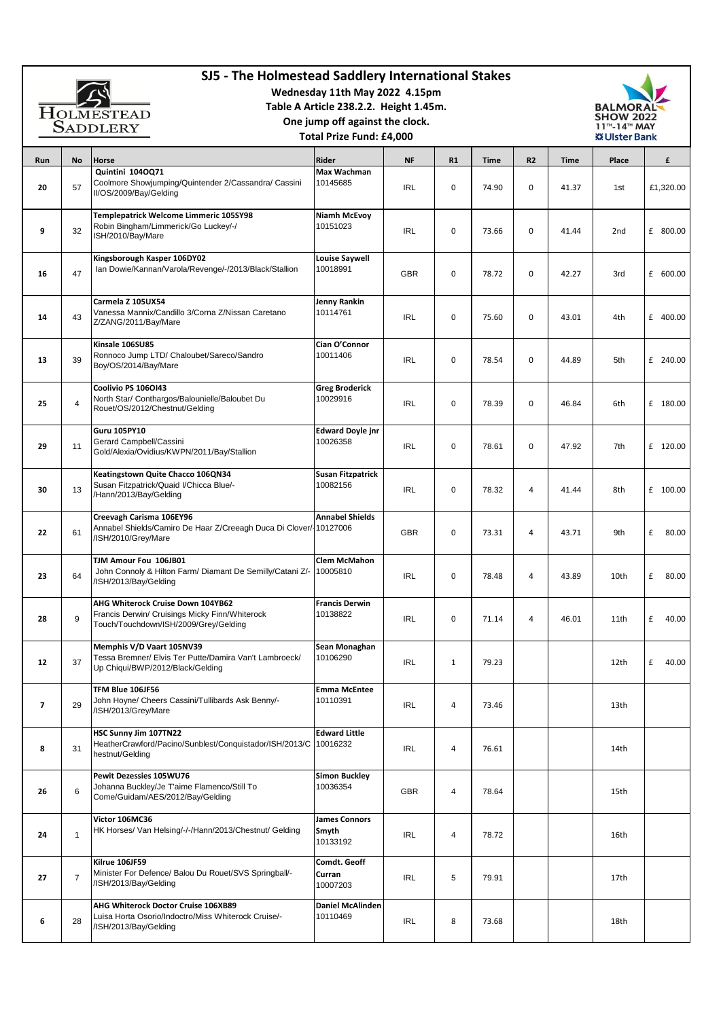| SJ5 - The Holmestead Saddlery International Stakes<br>Wednesday 11th May 2022 4.15pm<br>Table A Article 238.2.2. Height 1.45m.<br><b>HOLMESTEAD</b><br>One jump off against the clock.<br><b>SADDLERY</b><br><b>Total Prize Fund: £4.000</b> |                |                                                                                                                              |                                           |            |                |       |    | <b>BALMORAL</b><br><b>SHOW 2022</b><br>11 <sup>™</sup> -14™ MAY<br>※ Ulster Bank |                 |            |
|----------------------------------------------------------------------------------------------------------------------------------------------------------------------------------------------------------------------------------------------|----------------|------------------------------------------------------------------------------------------------------------------------------|-------------------------------------------|------------|----------------|-------|----|----------------------------------------------------------------------------------|-----------------|------------|
| Run                                                                                                                                                                                                                                          | No             | Horse                                                                                                                        | Rider                                     | <b>NF</b>  | R1             | Time  | R2 | Time                                                                             | Place           | £          |
| 20                                                                                                                                                                                                                                           | 57             | Quintini 104OQ71<br>Coolmore Showjumping/Quintender 2/Cassandra/ Cassini<br>II/OS/2009/Bay/Gelding                           | Max Wachman<br>10145685                   | IRL        | 0              | 74.90 | 0  | 41.37                                                                            | 1st             | £1,320.00  |
| 9                                                                                                                                                                                                                                            | 32             | Templepatrick Welcome Limmeric 105SY98<br>Robin Bingham/Limmerick/Go Luckey/-/<br>ISH/2010/Bay/Mare                          | <b>Niamh McEvoy</b><br>10151023           | IRL        | 0              | 73.66 | 0  | 41.44                                                                            | 2 <sub>nd</sub> | £ 800.00   |
| 16                                                                                                                                                                                                                                           | 47             | Kingsborough Kasper 106DY02<br>Ian Dowie/Kannan/Varola/Revenge/-/2013/Black/Stallion                                         | <b>Louise Saywell</b><br>10018991         | <b>GBR</b> | 0              | 78.72 | 0  | 42.27                                                                            | 3rd             | £ 600.00   |
| 14                                                                                                                                                                                                                                           | 43             | Carmela Z 105UX54<br>Vanessa Mannix/Candillo 3/Corna Z/Nissan Caretano<br>Z/ZANG/2011/Bay/Mare                               | <b>Jenny Rankin</b><br>10114761           | IRL        | 0              | 75.60 | 0  | 43.01                                                                            | 4th             | £ 400.00   |
| 13                                                                                                                                                                                                                                           | 39             | Kinsale 106SU85<br>Ronnoco Jump LTD/ Chaloubet/Sareco/Sandro<br>Boy/OS/2014/Bay/Mare                                         | Cian O'Connor<br>10011406                 | IRL        | 0              | 78.54 | 0  | 44.89                                                                            | 5th             | £ 240.00   |
| 25                                                                                                                                                                                                                                           | 4              | Coolivio PS 106OI43<br>North Star/ Conthargos/Balounielle/Baloubet Du<br>Rouet/OS/2012/Chestnut/Gelding                      | <b>Greg Broderick</b><br>10029916         | IRL        | 0              | 78.39 | 0  | 46.84                                                                            | 6th             | £ 180.00   |
| 29                                                                                                                                                                                                                                           | 11             | <b>Guru 105PY10</b><br>Gerard Campbell/Cassini<br>Gold/Alexia/Ovidius/KWPN/2011/Bay/Stallion                                 | <b>Edward Doyle jnr</b><br>10026358       | <b>IRL</b> | 0              | 78.61 | 0  | 47.92                                                                            | 7th             | £ 120.00   |
| 30                                                                                                                                                                                                                                           | 13             | Keatingstown Quite Chacco 106QN34<br>Susan Fitzpatrick/Quaid I/Chicca Blue/-<br>/Hann/2013/Bay/Gelding                       | <b>Susan Fitzpatrick</b><br>10082156      | <b>IRL</b> | 0              | 78.32 | 4  | 41.44                                                                            | 8th             | £ 100.00   |
| 22                                                                                                                                                                                                                                           | 61             | Creevagh Carisma 106EY96<br>Annabel Shields/Camiro De Haar Z/Creeagh Duca Di Clover/10127006<br>/ISH/2010/Grey/Mare          | <b>Annabel Shields</b>                    | GBR        | 0              | 73.31 | 4  | 43.71                                                                            | 9th             | £<br>80.00 |
| 23                                                                                                                                                                                                                                           | 64             | TJM Amour Fou 106JB01<br>John Connoly & Hilton Farm/ Diamant De Semilly/Catani Z/-<br>/ISH/2013/Bay/Gelding                  | <b>Clem McMahon</b><br>10005810           | IRL        | 0              | 78.48 | 4  | 43.89                                                                            | 10th            | £<br>80.00 |
| 28                                                                                                                                                                                                                                           | 9              | AHG Whiterock Cruise Down 104YB62<br>Francis Derwin/ Cruisings Micky Finn/Whiterock<br>Touch/Touchdown/ISH/2009/Grey/Gelding | <b>Francis Derwin</b><br>10138822         | IRL        | $\mathbf 0$    | 71.14 | 4  | 46.01                                                                            | 11th            | £<br>40.00 |
| 12                                                                                                                                                                                                                                           | 37             | Memphis V/D Vaart 105NV39<br>Tessa Bremner/ Elvis Ter Putte/Damira Van't Lambroeck/<br>Up Chiqui/BWP/2012/Black/Gelding      | Sean Monaghan<br>10106290                 | <b>IRL</b> | $\mathbf{1}$   | 79.23 |    |                                                                                  | 12th            | £<br>40.00 |
| $\overline{\phantom{a}}$                                                                                                                                                                                                                     | 29             | TFM Blue 106JF56<br>John Hoyne/ Cheers Cassini/Tullibards Ask Benny/-<br>/ISH/2013/Grey/Mare                                 | <b>Emma McEntee</b><br>10110391           | IRL        | 4              | 73.46 |    |                                                                                  | 13th            |            |
| 8                                                                                                                                                                                                                                            | 31             | HSC Sunny Jim 107TN22<br>HeatherCrawford/Pacino/Sunblest/Conquistador/ISH/2013/C<br>hestnut/Gelding                          | <b>Edward Little</b><br>10016232          | IRL        | 4              | 76.61 |    |                                                                                  | 14th            |            |
| 26                                                                                                                                                                                                                                           | 6              | Pewit Dezessies 105WU76<br>Johanna Buckley/Je T'aime Flamenco/Still To<br>Come/Guidam/AES/2012/Bay/Gelding                   | <b>Simon Buckley</b><br>10036354          | GBR        | $\overline{4}$ | 78.64 |    |                                                                                  | 15th            |            |
| 24                                                                                                                                                                                                                                           | $\mathbf{1}$   | Victor 106MC36<br>HK Horses/ Van Helsing/-/-/Hann/2013/Chestnut/ Gelding                                                     | <b>James Connors</b><br>Smyth<br>10133192 | <b>IRL</b> | $\overline{4}$ | 78.72 |    |                                                                                  | 16th            |            |
| 27                                                                                                                                                                                                                                           | $\overline{7}$ | Kilrue 106JF59<br>Minister For Defence/ Balou Du Rouet/SVS Springball/-<br>/ISH/2013/Bay/Gelding                             | Comdt. Geoff<br>Curran<br>10007203        | <b>IRL</b> | 5              | 79.91 |    |                                                                                  | 17th            |            |
| 6                                                                                                                                                                                                                                            | 28             | AHG Whiterock Doctor Cruise 106XB89<br>Luisa Horta Osorio/Indoctro/Miss Whiterock Cruise/-<br>/ISH/2013/Bay/Gelding          | Daniel McAlinden<br>10110469              | IRL        | 8              | 73.68 |    |                                                                                  | 18th            |            |